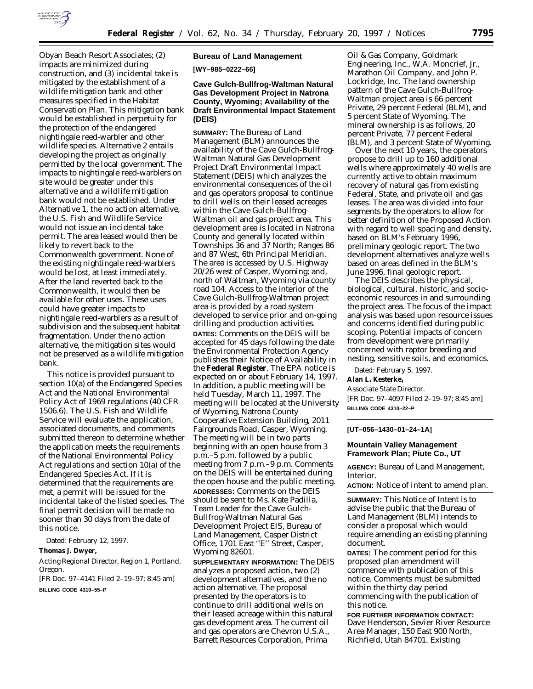

Obyan Beach Resort Associates; (2) impacts are minimized during construction, and (3) incidental take is mitigated by the establishment of a wildlife mitigation bank and other measures specified in the Habitat Conservation Plan. This mitigation bank would be established in perpetuity for the protection of the endangered nightingale reed-warbler and other wildlife species. Alternative 2 entails developing the project as originally permitted by the local government. The impacts to nightingale reed-warblers on site would be greater under this alternative and a wildlife mitigation bank would not be established. Under Alternative 1, the no action alternative, the U.S. Fish and Wildlife Service would not issue an incidental take permit. The area leased would then be likely to revert back to the Commonwealth government. None of the existing nightingale reed-warblers would be lost, at least immediately. After the land reverted back to the Commonwealth, it would then be available for other uses. These uses could have greater impacts to nightingale reed-warblers as a result of subdivision and the subsequent habitat fragmentation. Under the no action alternative, the mitigation sites would not be preserved as a wildlife mitigation bank.

This notice is provided pursuant to section 10(a) of the Endangered Species Act and the National Environmental Policy Act of 1969 regulations (40 CFR 1506.6). The U.S. Fish and Wildlife Service will evaluate the application, associated documents, and comments submitted thereon to determine whether the application meets the requirements of the National Environmental Policy Act regulations and section 10(a) of the Endangered Species Act. If it is determined that the requirements are met, a permit will be issued for the incidental take of the listed species. The final permit decision will be made no sooner than 30 days from the date of this notice.

Dated: February 12, 1997.

**Thomas J. Dwyer,**

*Acting Regional Director, Region 1, Portland, Oregon.*

[FR Doc. 97–4141 Filed 2–19–97; 8:45 am] **BILLING CODE 4310–55–P**

### **Bureau of Land Management**

**[WY–985–0222–66]**

# **Cave Gulch-Bullfrog-Waltman Natural Gas Development Project in Natrona County, Wyoming; Availability of the Draft Environmental Impact Statement (DEIS)**

**SUMMARY:** The Bureau of Land Management (BLM) announces the availability of the Cave Gulch-Bullfrog-Waltman Natural Gas Development Project Draft Environmental Impact Statement (DEIS) which analyzes the environmental consequences of the oil and gas operators proposal to continue to drill wells on their leased acreages within the Cave Gulch-Bullfrog-Waltman oil and gas project area. This development area is located in Natrona County and generally located within Townships 36 and 37 North; Ranges 86 and 87 West, 6th Principal Meridian. The area is accessed by U.S. Highway 20/26 west of Casper, Wyoming; and, north of Waltman, Wyoming via county road 104. Access to the interior of the Cave Gulch-Bullfrog-Waltman project area is provided by a road system developed to service prior and on-going drilling and production activities. **DATES:** Comments on the DEIS will be accepted for 45 days following the date the Environmental Protection Agency publishes their Notice of Availability in the **Federal Register**. The EPA notice is expected on or about February 14, 1997. In addition, a public meeting will be held Tuesday, March 11, 1997. The meeting will be located at the University of Wyoming, Natrona County Cooperative Extension Building, 2011 Fairgrounds Road, Casper, Wyoming. The meeting will be in two parts beginning with an open house from 3 p.m.–5 p.m. followed by a public meeting from 7 p.m.–9 p.m. Comments on the DEIS will be entertained during the open house and the public meeting. **ADDRESSES:** Comments on the DEIS should be sent to Ms. Kate Padilla, Team Leader for the Cave Gulch-Bullfrog-Waltman Natural Gas Development Project EIS, Bureau of Land Management, Casper District Office, 1701 East ''E'' Street, Casper, Wyoming 82601.

**SUPPLEMENTARY INFORMATION:** The DEIS analyzes a proposed action, two (2) development alternatives, and the no action alternative. The proposal presented by the operators is to continue to drill additional wells on their leased acreage within this natural gas development area. The current oil and gas operators are Chevron U.S.A., Barrett Resources Corporation, Prima

Oil & Gas Company, Goldmark Engineering, Inc., W.A. Moncrief, Jr., Marathon Oil Company, and John P. Lockridge, Inc. The land ownership pattern of the Cave Gulch-Bullfrog-Waltman project area is 66 percent Private, 29 percent Federal (BLM), and 5 percent State of Wyoming. The mineral ownership is as follows, 20 percent Private, 77 percent Federal (BLM), and 3 percent State of Wyoming.

Over the next 10 years, the operators propose to drill up to 160 additional wells where approximately 40 wells are currently active to obtain maximum recovery of natural gas from existing Federal, State, and private oil and gas leases. The area was divided into four segments by the operators to allow for better definition of the Proposed Action with regard to well spacing and density, based on BLM's February 1996, preliminary geologic report. The two development alternatives analyze wells based on areas defined in the BLM's June 1996, final geologic report.

The DEIS describes the physical, biological, cultural, historic, and socioeconomic resources in and surrounding the project area. The focus of the impact analysis was based upon resource issues and concerns identified during public scoping. Potential impacts of concern from development were primarily concerned with raptor breeding and nesting, sensitive soils, and economics.

Dated: February 5, 1997.

**Alan L. Kesterke,**

*Associate State Director.*

[FR Doc. 97–4097 Filed 2–19–97; 8:45 am] **BILLING CODE 4310–22–P**

#### **[UT–056–1430–01–24–1A]**

## **Mountain Valley Management Framework Plan; Piute Co., UT**

**AGENCY:** Bureau of Land Management, Interior.

**ACTION:** Notice of intent to amend plan.

**SUMMARY:** This Notice of Intent is to advise the public that the Bureau of Land Management (BLM) intends to consider a proposal which would require amending an existing planning document.

**DATES:** The comment period for this proposed plan amendment will commence with publication of this notice. Comments must be submitted within the thirty day period commencing with the publication of this notice.

**FOR FURTHER INFORMATION CONTACT:** Dave Henderson, Sevier River Resource Area Manager, 150 East 900 North, Richfield, Utah 84701. Existing